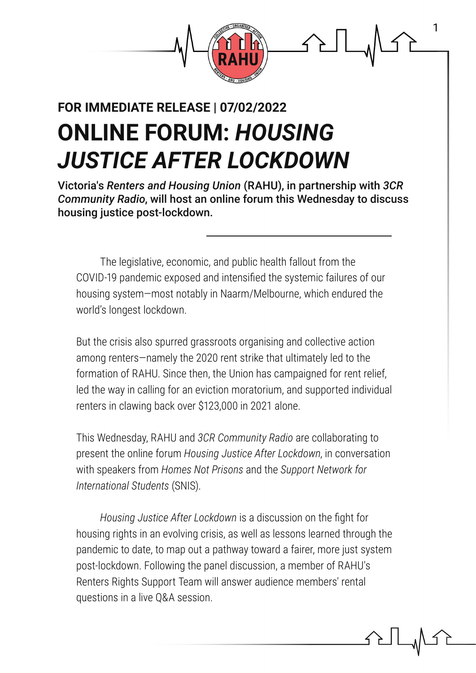

# **ONLINE FORUM:** *HOUSING JUSTICE AFTER LOCKDOWN* **FOR IMMEDIATE RELEASE | 07/02/2022**

Victoria's *Renters and Housing Union* (RAHU), in partnership with *3CR Community Radio*, will host an online forum this Wednesday to discuss housing justice post-lockdown.

The legislative, economic, and public health fallout from the COVID-19 pandemic exposed and intensified the systemic failures of our housing system—most notably in Naarm/Melbourne, which endured the world's longest lockdown.

But the crisis also spurred grassroots organising and collective action among renters—namely the 2020 rent strike that ultimately led to the formation of RAHU. Since then, the Union has campaigned for rent relief, led the way in calling for an eviction moratorium, and supported individual renters in clawing back over \$123,000 in 2021 alone.

This Wednesday, RAHU and *3CR Community Radio* are collaborating to present the online forum *Housing Justice After Lockdown*, in conversation with speakers from *Homes Not Prisons* and the *Support Network for International Students* (SNIS).

*Housing Justice After Lockdown* is a discussion on the fight for housing rights in an evolving crisis, as well as lessons learned through the pandemic to date, to map out a pathway toward a fairer, more just system post-lockdown. Following the panel discussion, a member of RAHU's Renters Rights Support Team will answer audience members' rental questions in a live Q&A session.